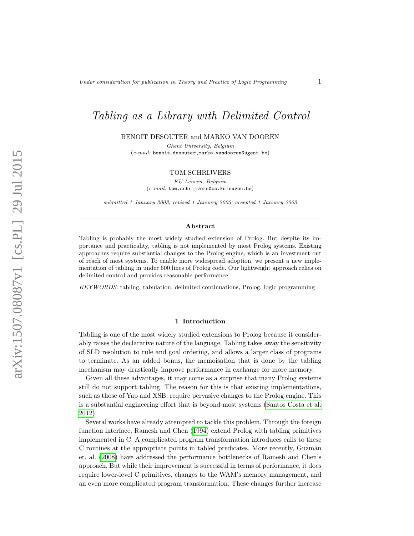# Tabling as a Library with Delimited Control

BENOIT DESOUTER and MARKO VAN DOOREN

Ghent University, Belgium  $(e-mail: \texttt{benoit.desouter}, \texttt{marko.vandooren@ugent.be})$ 

## TOM SCHRIJVERS

KU Leuven, Belgium (e-mail: tom.schrijvers@cs.kuleuven.be)

submitted 1 January 2003; revised 1 January 2003; accepted 1 January 2003

## Abstract

Tabling is probably the most widely studied extension of Prolog. But despite its importance and practicality, tabling is not implemented by most Prolog systems. Existing approaches require substantial changes to the Prolog engine, which is an investment out of reach of most systems. To enable more widespread adoption, we present a new implementation of tabling in under 600 lines of Prolog code. Our lightweight approach relies on delimited control and provides reasonable performance.

KEYWORDS: tabling, tabulation, delimited continuations, Prolog, logic programming

#### 1 Introduction

Tabling is one of the most widely studied extensions to Prolog because it considerably raises the declarative nature of the language. Tabling takes away the sensitivity of SLD resolution to rule and goal ordering, and allows a larger class of programs to terminate. As an added bonus, the memoisation that is done by the tabling mechanism may drastically improve performance in exchange for more memory.

Given all these advantages, it may come as a surprise that many Prolog systems still do not support tabling. The reason for this is that existing implementations, such as those of Yap and XSB, require pervasive changes to the Prolog engine. This is a substantial engineering effort that is beyond most systems [\(Santos Costa et al.](#page-14-0) [2012\)](#page-14-0).

Several works have already attempted to tackle this problem. Through the foreign function interface, Ramesh and Chen [\(1994\)](#page-13-0) extend Prolog with tabling primitives implemented in C. A complicated program transformation introduces calls to these C routines at the appropriate points in tabled predicates. More recently, Guzmán et. al. [\(2008\)](#page-13-1) have addressed the performance bottlenecks of Ramesh and Chen's approach. But while their improvement is successful in terms of performance, it does require lower-level C primitives, changes to the WAM's memory management, and an even more complicated program transformation. These changes further increase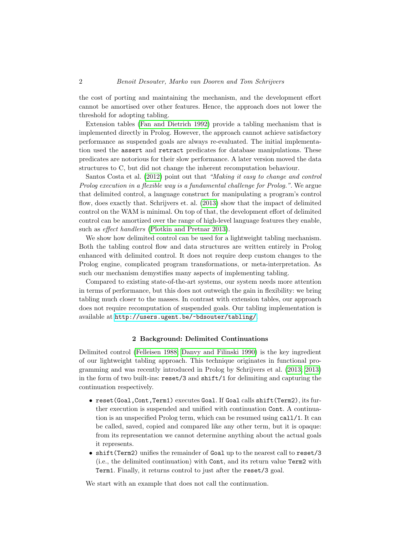the cost of porting and maintaining the mechanism, and the development effort cannot be amortised over other features. Hence, the approach does not lower the threshold for adopting tabling.

Extension tables [\(Fan and Dietrich 1992\)](#page-13-2) provide a tabling mechanism that is implemented directly in Prolog. However, the approach cannot achieve satisfactory performance as suspended goals are always re-evaluated. The initial implementation used the assert and retract predicates for database manipulations. These predicates are notorious for their slow performance. A later version moved the data structures to C, but did not change the inherent recomputation behaviour.

Santos Costa et al. [\(2012\)](#page-14-0) point out that "Making it easy to change and control Prolog execution in a flexible way is a fundamental challenge for Prolog.". We argue that delimited control, a language construct for manipulating a program's control flow, does exactly that. Schrijvers et. al. [\(2013\)](#page-14-1) show that the impact of delimited control on the WAM is minimal. On top of that, the development effort of delimited control can be amortized over the range of high-level language features they enable, such as effect handlers [\(Plotkin and Pretnar 2013\)](#page-13-3).

We show how delimited control can be used for a lightweight tabling mechanism. Both the tabling control flow and data structures are written entirely in Prolog enhanced with delimited control. It does not require deep custom changes to the Prolog engine, complicated program transformations, or meta-interpretation. As such our mechanism demystifies many aspects of implementing tabling.

Compared to existing state-of-the-art systems, our system needs more attention in terms of performance, but this does not outweigh the gain in flexibility: we bring tabling much closer to the masses. In contrast with extension tables, our approach does not require recomputation of suspended goals. Our tabling implementation is available at <http://users.ugent.be/~bdsouter/tabling/>.

# 2 Background: Delimited Continuations

Delimited control [\(Felleisen 1988;](#page-13-4) [Danvy and Filinski 1990\)](#page-13-5) is the key ingredient of our lightweight tabling approach. This technique originates in functional programming and was recently introduced in Prolog by Schrijvers et al. [\(2013;](#page-14-1) [2013\)](#page-14-2) in the form of two built-ins: reset/3 and shift/1 for delimiting and capturing the continuation respectively.

- reset(Goal,Cont,Term1) executes Goal. If Goal calls shift(Term2), its further execution is suspended and unified with continuation Cont. A continuation is an unspecified Prolog term, which can be resumed using call/1. It can be called, saved, copied and compared like any other term, but it is opaque: from its representation we cannot determine anything about the actual goals it represents.
- shift(Term2) unifies the remainder of Goal up to the nearest call to reset/3 (i.e., the delimited continuation) with Cont, and its return value Term2 with Term1. Finally, it returns control to just after the reset/3 goal.

We start with an example that does not call the continuation.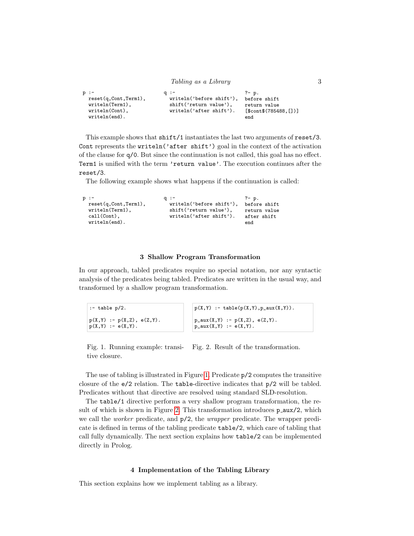```
Tabling as a Library 3
p :-
 reset(q,Cont,Term1),
 writeln(Term1),
 writeln(Cont),
 writeln(end).
                         q :-
                           writeln('before shift'),
                           shift('return value'),
                           writeln('after shift').
                                                   ?- p.
                                                   before shift
                                                   return value
                                                    [$cont$(785488,[])]
                                                   end
```
This example shows that shift/1 instantiates the last two arguments of reset/3. Cont represents the writeln('after shift') goal in the context of the activation of the clause for q/0. But since the continuation is not called, this goal has no effect. Term1 is unified with the term 'return value'. The execution continues after the reset/3.

The following example shows what happens if the continuation is called:

| $p :=$                   | $q : -$                  | ?- p.        |
|--------------------------|--------------------------|--------------|
| $reset(q,Cont, Term1)$ , | writeln('before shift'), | before shift |
| written("term1),         | shift('return value'),   | return value |
| $call(Cont)$ ,           | written('after shift').  | after shift  |
| writtened).              |                          | end          |

# <span id="page-2-1"></span>3 Shallow Program Transformation

In our approach, tabled predicates require no special notation, nor any syntactic analysis of the predicates being tabled. Predicates are written in the usual way, and transformed by a shallow program transformation.

| $\vert$ :- table p/2.                                | $p(X, Y)$ :- table( $p(X, Y)$ , $p\_aux(X, Y)$ ).              |
|------------------------------------------------------|----------------------------------------------------------------|
| $ p(X,Y) - p(X,Z), e(Z,Y).$<br>$ p(X,Y) := e(X,Y)$ . | $p_{aux}(X,Y) := p(X,Z), e(Z,Y).$<br>$p_{aux}(X,Y) := e(X,Y).$ |

<span id="page-2-0"></span>Fig. 1. Running example: transitive closure. Fig. 2. Result of the transformation.

The use of tabling is illustrated in Figure [1.](#page-2-0) Predicate p/2 computes the transitive closure of the e/2 relation. The table-directive indicates that p/2 will be tabled. Predicates without that directive are resolved using standard SLD-resolution.

The table/1 directive performs a very shallow program transformation, the re-sult of which is shown in Figure [2.](#page-2-1) This transformation introduces  $p_$ -aux/2, which we call the *worker* predicate, and  $p/2$ , the *wrapper* predicate. The wrapper predicate is defined in terms of the tabling predicate table/2, which care of tabling that call fully dynamically. The next section explains how table/2 can be implemented directly in Prolog.

# 4 Implementation of the Tabling Library

This section explains how we implement tabling as a library.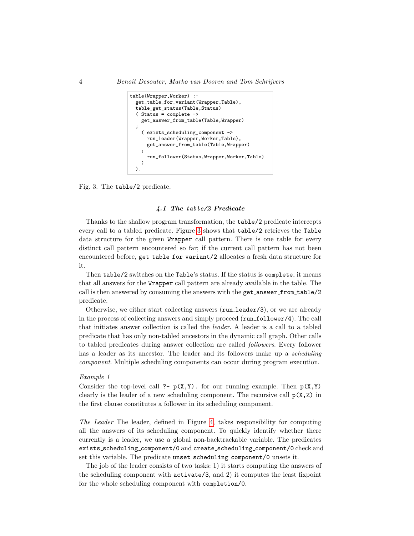```
table(Wrapper,Worker) :-
 get_table_for_variant(Wrapper,Table),
  table_get_status(Table,Status)
  ( Status = complete ->
   get_answer_from_table(Table,Wrapper)
  ;
    ( exists_scheduling_component ->
     run_leader(Wrapper,Worker,Table),
      get_answer_from_table(Table,Wrapper)
    ;
      run_follower(Status,Wrapper,Worker,Table)
   \lambda).
```
<span id="page-3-0"></span>Fig. 3. The table/2 predicate.

# 4.1 The table/2 Predicate

Thanks to the shallow program transformation, the table/2 predicate intercepts every call to a tabled predicate. Figure [3](#page-3-0) shows that table/2 retrieves the Table data structure for the given Wrapper call pattern. There is one table for every distinct call pattern encountered so far; if the current call pattern has not been encountered before, get table for variant/2 allocates a fresh data structure for it.

Then table/2 switches on the Table's status. If the status is complete, it means that all answers for the Wrapper call pattern are already available in the table. The call is then answered by consuming the answers with the get answer from table/2 predicate.

Otherwise, we either start collecting answers (run leader/3), or we are already in the process of collecting answers and simply proceed (run\_follower/4). The call that initiates answer collection is called the leader. A leader is a call to a tabled predicate that has only non-tabled ancestors in the dynamic call graph. Other calls to tabled predicates during answer collection are called followers. Every follower has a leader as its ancestor. The leader and its followers make up a *scheduling* component. Multiple scheduling components can occur during program execution.

## Example 1

Consider the top-level call ?-  $p(X,Y)$ . for our running example. Then  $p(X,Y)$ clearly is the leader of a new scheduling component. The recursive call  $p(X, Z)$  in the first clause constitutes a follower in its scheduling component.

The Leader The leader, defined in Figure [4,](#page-4-0) takes responsibility for computing all the answers of its scheduling component. To quickly identify whether there currently is a leader, we use a global non-backtrackable variable. The predicates exists scheduling component/0 and create scheduling component/0 check and set this variable. The predicate unset scheduling component/0 unsets it.

The job of the leader consists of two tasks: 1) it starts computing the answers of the scheduling component with activate/3, and 2) it computes the least fixpoint for the whole scheduling component with completion/0.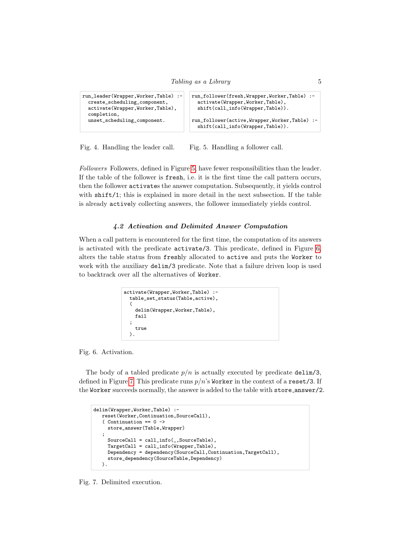```
run_leader(Wrapper,Worker,Table) :-
 create_scheduling_component,
 activate(Wrapper,Worker,Table),
 completion,
 unset_scheduling_component.
                                       run_follower(fresh,Wrapper,Worker,Table) :-
                                         activate(Wrapper,Worker,Table),
                                         shift(call_info(Wrapper,Table)).
                                       run_follower(active,Wrapper,Worker,Table) :-
                                         shift(call_info(Wrapper,Table)).
```
<span id="page-4-0"></span>Fig. 4. Handling the leader call. Fig. 5. Handling a follower call.

Followers Followers, defined in Figure [5,](#page-4-1) have fewer responsibilities than the leader. If the table of the follower is fresh, i.e. it is the first time the call pattern occurs, then the follower activates the answer computation. Subsequently, it yields control with shift/1; this is explained in more detail in the next subsection. If the table is already actively collecting answers, the follower immediately yields control.

# <span id="page-4-1"></span>4.2 Activation and Delimited Answer Computation

When a call pattern is encountered for the first time, the computation of its answers is activated with the predicate activate/3. This predicate, defined in Figure [6,](#page-4-2) alters the table status from freshly allocated to active and puts the Worker to work with the auxiliary **delim**/3 predicate. Note that a failure driven loop is used to backtrack over all the alternatives of Worker.

```
activate(Wrapper,Worker,Table) :-
  table_set_status(Table,active),
  (
    delim(Wrapper,Worker,Table),
    fail
  ;
    true
  ).
```
<span id="page-4-2"></span>Fig. 6. Activation.

The body of a tabled predicate  $p/n$  is actually executed by predicate delim/3, defined in Figure [7.](#page-4-3) This predicate runs  $p/n$ 's Worker in the context of a reset/3. If the Worker succeeds normally, the answer is added to the table with store answer/2.

```
delim(Wrapper,Worker,Table) :-
  reset(Worker,Continuation,SourceCall),
   ( Continuation == 0 ->
    store_answer(Table,Wrapper)
   ;
    SourceCall = call_info(_,SourceTable),
    TargetCall = call_info(Wrapper,Table),
    Dependency = dependency(SourceCall,Continuation,TargetCall),
     store_dependency(SourceTable,Dependency)
  ).
```
<span id="page-4-3"></span>Fig. 7. Delimited execution.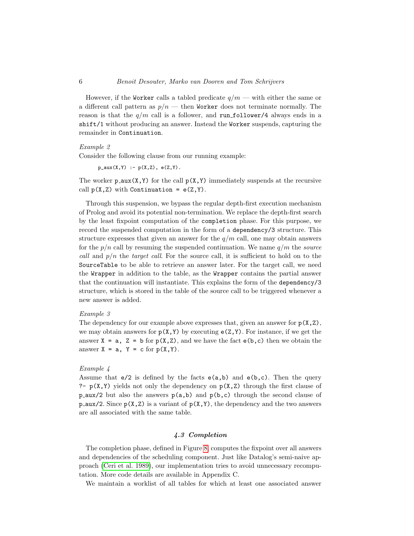However, if the Worker calls a tabled predicate  $q/m$  — with either the same or a different call pattern as  $p/n$  — then Worker does not terminate normally. The reason is that the  $q/m$  call is a follower, and run follower/4 always ends in a shift/1 without producing an answer. Instead the Worker suspends, capturing the remainder in Continuation.

# Example 2

Consider the following clause from our running example:

 $p_aux(X,Y) := p(X,Z), e(Z,Y).$ 

The worker  $p_aux(X,Y)$  for the call  $p(X,Y)$  immediately suspends at the recursive call  $p(X, Z)$  with Continuation =  $e(Z, Y)$ .

Through this suspension, we bypass the regular depth-first execution mechanism of Prolog and avoid its potential non-termination. We replace the depth-first search by the least fixpoint computation of the completion phase. For this purpose, we record the suspended computation in the form of a dependency/3 structure. This structure expresses that given an answer for the  $q/m$  call, one may obtain answers for the  $p/n$  call by resuming the suspended continuation. We name  $q/m$  the source call and  $p/n$  the target call. For the source call, it is sufficient to hold on to the SourceTable to be able to retrieve an answer later. For the target call, we need the Wrapper in addition to the table, as the Wrapper contains the partial answer that the continuation will instantiate. This explains the form of the dependency/3 structure, which is stored in the table of the source call to be triggered whenever a new answer is added.

#### Example 3

The dependency for our example above expresses that, given an answer for  $p(X, Z)$ , we may obtain answers for  $p(X,Y)$  by executing  $e(Z,Y)$ . For instance, if we get the answer  $X = a$ ,  $Z = b$  for  $p(X, Z)$ , and we have the fact  $e(b, c)$  then we obtain the answer  $X = a$ ,  $Y = c$  for  $p(X, Y)$ .

# <span id="page-5-0"></span>Example 4

Assume that  $e/2$  is defined by the facts  $e(a,b)$  and  $e(b,c)$ . Then the query ?-  $p(X, Y)$  yields not only the dependency on  $p(X, Z)$  through the first clause of  $p_aux/2$  but also the answers  $p(a,b)$  and  $p(b,c)$  through the second clause of p aux/2. Since  $p(X, Z)$  is a variant of  $p(X, Y)$ , the dependency and the two answers are all associated with the same table.

# 4.3 Completion

The completion phase, defined in Figure [8,](#page-6-0) computes the fixpoint over all answers and dependencies of the scheduling component. Just like Datalog's semi-naive approach [\(Ceri et al. 1989\)](#page-13-6), our implementation tries to avoid unnecessary recomputation. More code details are available in Appendix C.

We maintain a worklist of all tables for which at least one associated answer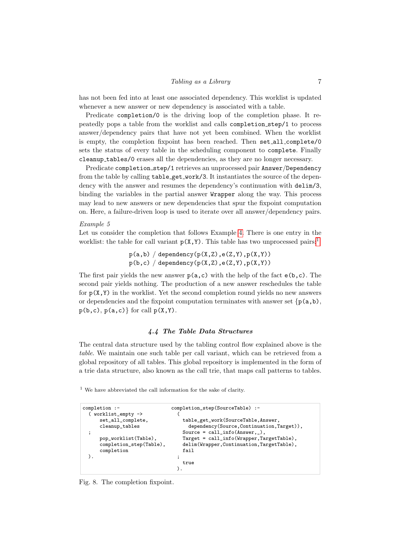# Tabling as a Library 7

has not been fed into at least one associated dependency. This worklist is updated whenever a new answer or new dependency is associated with a table.

Predicate completion/0 is the driving loop of the completion phase. It repeatedly pops a table from the worklist and calls completion step/1 to process answer/dependency pairs that have not yet been combined. When the worklist is empty, the completion fixpoint has been reached. Then set all complete/0 sets the status of every table in the scheduling component to complete. Finally cleanup tables/0 erases all the dependencies, as they are no longer necessary.

Predicate completion step/1 retrieves an unprocessed pair Answer/Dependency from the table by calling table get work/3. It instantiates the source of the dependency with the answer and resumes the dependency's continuation with delim/3, binding the variables in the partial answer Wrapper along the way. This process may lead to new answers or new dependencies that spur the fixpoint computation on. Here, a failure-driven loop is used to iterate over all answer/dependency pairs.

#### Example 5

Let us consider the completion that follows Example [4.](#page-5-0) There is one entry in the worklist: the table for call variant  $p(X, Y)$ . This table has two unprocessed pairs:<sup>[1](#page-6-1)</sup>

> $p(a,b)$  / dependency( $p(X,Z)$ ,e( $Z,Y$ ), $p(X,Y)$ )  $p(b, c)$  / dependency( $p(X, Z)$ ,e( $Z, Y$ ), $p(X, Y)$ )

The first pair yields the new answer  $p(a, c)$  with the help of the fact  $e(b, c)$ . The second pair yields nothing. The production of a new answer reschedules the table for  $p(X, Y)$  in the worklist. Yet the second completion round yields no new answers or dependencies and the fixpoint computation terminates with answer set  $\{p(a,b),\}$  $p(b, c), p(a, c)$  for call  $p(X, Y)$ .

# 4.4 The Table Data Structures

The central data structure used by the tabling control flow explained above is the table. We maintain one such table per call variant, which can be retrieved from a global repository of all tables. This global repository is implemented in the form of a trie data structure, also known as the call trie, that maps call patterns to tables.

<span id="page-6-1"></span> $1$  We have abbreviated the call information for the sake of clarity.

```
completion :- completion_step(SourceTable) :-
  ( worklist_empty -><br>set_all_complete,
                                  table_get_work(SourceTable, Answer,
     cleanup_tables dependency(Source,Continuation,Target)),
     %Source = call_info(Answer,_),<br>pop_worklist(Table), <br>Target = call\_info(Wrapper, TaTarget = call_info(Wrapper,TargetTable),
     completion_step(Table), delim(Wrapper,Continuation,TargetTable),
     completion fail
  ). \qquad \qquad ;true
                                ).
```
<span id="page-6-0"></span>Fig. 8. The completion fixpoint.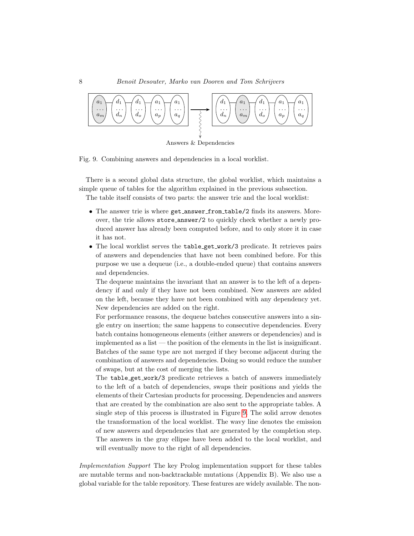

<span id="page-7-0"></span>Fig. 9. Combining answers and dependencies in a local worklist.

There is a second global data structure, the global worklist, which maintains a simple queue of tables for the algorithm explained in the previous subsection.

The table itself consists of two parts: the answer trie and the local worklist:

- The answer trie is where get answer from table/2 finds its answers. Moreover, the trie allows store answer/2 to quickly check whether a newly produced answer has already been computed before, and to only store it in case it has not.
- The local worklist serves the table\_get\_work/3 predicate. It retrieves pairs of answers and dependencies that have not been combined before. For this purpose we use a dequeue (i.e., a double-ended queue) that contains answers and dependencies.

The dequeue maintains the invariant that an answer is to the left of a dependency if and only if they have not been combined. New answers are added on the left, because they have not been combined with any dependency yet. New dependencies are added on the right.

For performance reasons, the dequeue batches consecutive answers into a single entry on insertion; the same happens to consecutive dependencies. Every batch contains homogeneous elements (either answers or dependencies) and is implemented as a list — the position of the elements in the list is insignificant. Batches of the same type are not merged if they become adjacent during the combination of answers and dependencies. Doing so would reduce the number of swaps, but at the cost of merging the lists.

The table get work/3 predicate retrieves a batch of answers immediately to the left of a batch of dependencies, swaps their positions and yields the elements of their Cartesian products for processing. Dependencies and answers that are created by the combination are also sent to the appropriate tables. A single step of this process is illustrated in Figure [9.](#page-7-0) The solid arrow denotes the transformation of the local worklist. The wavy line denotes the emission of new answers and dependencies that are generated by the completion step. The answers in the gray ellipse have been added to the local worklist, and will eventually move to the right of all dependencies.

Implementation Support The key Prolog implementation support for these tables are mutable terms and non-backtrackable mutations (Appendix B). We also use a global variable for the table repository. These features are widely available. The non-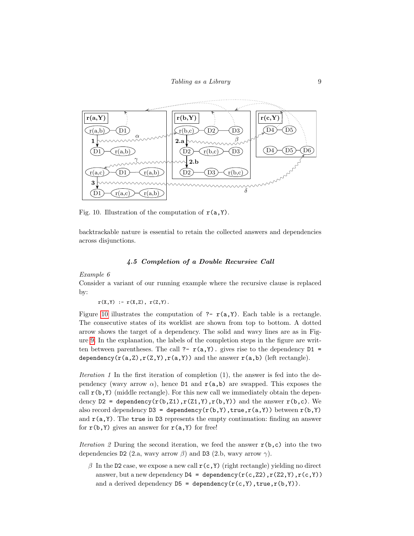

<span id="page-8-0"></span>Fig. 10. Illustration of the computation of  $r(a, Y)$ .

backtrackable nature is essential to retain the collected answers and dependencies across disjunctions.

# 4.5 Completion of a Double Recursive Call

Example 6

Consider a variant of our running example where the recursive clause is replaced by:

 $r(X,Y) := r(X,Z), r(Z,Y).$ 

Figure [10](#page-8-0) illustrates the computation of ?-  $r(a, Y)$ . Each table is a rectangle. The consecutive states of its worklist are shown from top to bottom. A dotted arrow shows the target of a dependency. The solid and wavy lines are as in Figure [9.](#page-7-0) In the explanation, the labels of the completion steps in the figure are written between parentheses. The call ?-  $r(a,Y)$ . gives rise to the dependency D1 = dependency( $r(a,Z), r(Z,Y), r(a,Y)$ ) and the answer  $r(a,b)$  (left rectangle).

Iteration 1 In the first iteration of completion (1), the answer is fed into the dependency (wavy arrow  $\alpha$ ), hence D1 and  $r(a,b)$  are swapped. This exposes the call  $r(b, Y)$  (middle rectangle). For this new call we immediately obtain the dependency  $D2 =$  dependency( $r(b, Z1)$ ,  $r(Z1, Y)$ ,  $r(b, Y)$ ) and the answer  $r(b, c)$ . We also record dependency  $D3 =$  dependency  $(r(b, Y), true, r(a, Y))$  between  $r(b, Y)$ and  $r(a, Y)$ . The true in D3 represents the empty continuation: finding an answer for  $r(b, Y)$  gives an answer for  $r(a, Y)$  for free!

Iteration 2 During the second iteration, we feed the answer  $r(b, c)$  into the two dependencies D2 (2.a, wavy arrow  $\beta$ ) and D3 (2.b, wavy arrow  $\gamma$ ).

β In the D2 case, we expose a new call  $r(c, Y)$  (right rectangle) yielding no direct answer, but a new dependency  $D4 =$  dependency  $(r(c, Z2), r(Z2, Y), r(c, Y))$ and a derived dependency  $D5 =$  dependency  $(r(c, Y), true, r(b, Y))$ .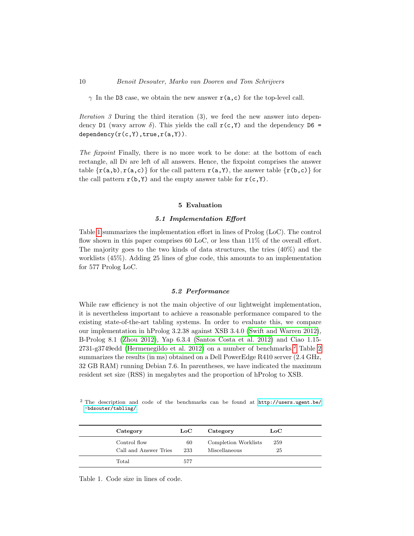$\gamma$  In the D3 case, we obtain the new answer  $r(a, c)$  for the top-level call.

Iteration 3 During the third iteration (3), we feed the new answer into dependency D1 (wavy arrow  $\delta$ ). This yields the call  $r(c, Y)$  and the dependency D6 =  $dependercy(r(c, Y), true, r(a, Y)).$ 

The fixpoint Finally, there is no more work to be done: at the bottom of each rectangle, all  $Di$  are left of all answers. Hence, the fixpoint comprises the answer table  $\{r(a,b), r(a,c)\}$  for the call pattern  $r(a,Y)$ , the answer table  $\{r(b,c)\}$  for the call pattern  $r(b, Y)$  and the empty answer table for  $r(c, Y)$ .

# 5 Evaluation

## 5.1 Implementation Effort

Table [1](#page-9-0) summarizes the implementation effort in lines of Prolog (LoC). The control flow shown in this paper comprises 60 LoC, or less than 11% of the overall effort. The majority goes to the two kinds of data structures, the tries (40%) and the worklists (45%). Adding 25 lines of glue code, this amounts to an implementation for 577 Prolog LoC.

# 5.2 Performance

While raw efficiency is not the main objective of our lightweight implementation, it is nevertheless important to achieve a reasonable performance compared to the existing state-of-the-art tabling systems. In order to evaluate this, we compare our implementation in hProlog 3.2.38 against XSB 3.4.0 [\(Swift and Warren 2012\)](#page-14-3), B-Prolog 8.1 [\(Zhou 2012\)](#page-14-4), Yap 6.3.4 [\(Santos Costa et al. 2012\)](#page-14-0) and Ciao 1.15-  $2731$  $2731$ -g3749edd [\(Hermenegildo et al. 2012\)](#page-13-7) on a number of benchmarks.<sup>2</sup> Table [2](#page-11-0) summarizes the results (in ms) obtained on a Dell PowerEdge R410 server (2.4 GHz, 32 GB RAM) running Debian 7.6. In parentheses, we have indicated the maximum resident set size (RSS) in megabytes and the proportion of hProlog to XSB.

<span id="page-9-1"></span><sup>2</sup> The description and code of the benchmarks can be found at [http://users.ugent.be/](http://users.ugent.be/~bdsouter/tabling/) [~bdsouter/tabling/](http://users.ugent.be/~bdsouter/tabling/).

| Category                              | $_{\rm LoC}$ | Category                              | $_{\rm LoC}$ |  |
|---------------------------------------|--------------|---------------------------------------|--------------|--|
| Control flow<br>Call and Answer Tries | 60<br>233    | Completion Worklists<br>Miscellaneous | 259<br>25    |  |
| Total                                 | 577          |                                       |              |  |

<span id="page-9-0"></span>Table 1. Code size in lines of code.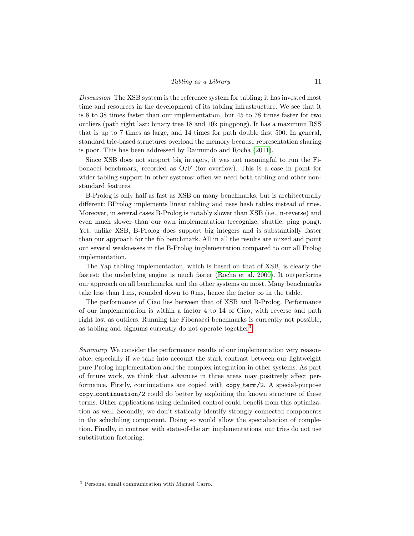# Tabling as a Library 11

Discussion The XSB system is the reference system for tabling; it has invested most time and resources in the development of its tabling infrastructure. We see that it is 8 to 38 times faster than our implementation, but 45 to 78 times faster for two outliers (path right last: binary tree 18 and 10k pingpong). It has a maximum RSS that is up to 7 times as large, and 14 times for path double first 500. In general, standard trie-based structures overload the memory because representation sharing is poor. This has been addressed by Raimundo and Rocha [\(2011\)](#page-13-8).

Since XSB does not support big integers, it was not meaningful to run the Fibonacci benchmark, recorded as  $O/F$  (for overflow). This is a case in point for wider tabling support in other systems: often we need both tabling and other nonstandard features.

B-Prolog is only half as fast as XSB on many benchmarks, but is architecturally different: BProlog implements linear tabling and uses hash tables instead of tries. Moreover, in several cases B-Prolog is notably slower than XSB (i.e., n-reverse) and even much slower than our own implementation (recognize, shuttle, ping pong). Yet, unlike XSB, B-Prolog does support big integers and is substantially faster than our approach for the fib benchmark. All in all the results are mixed and point out several weaknesses in the B-Prolog implementation compared to our all Prolog implementation.

The Yap tabling implementation, which is based on that of XSB, is clearly the fastest: the underlying engine is much faster [\(Rocha et al. 2000\)](#page-13-9). It outperforms our approach on all benchmarks, and the other systems on most. Many benchmarks take less than 1 ms, rounded down to 0 ms, hence the factor  $\infty$  in the table.

The performance of Ciao lies between that of XSB and B-Prolog. Performance of our implementation is within a factor 4 to 14 of Ciao, with reverse and path right last as outliers. Running the Fibonacci benchmarks is currently not possible, as tabling and bignums currently do not operate together<sup>[3](#page-10-0)</sup>.

Summary We consider the performance results of our implementation very reasonable, especially if we take into account the stark contrast between our lightweight pure Prolog implementation and the complex integration in other systems. As part of future work, we think that advances in three areas may positively affect performance. Firstly, continuations are copied with copy term/2. A special-purpose copy continuation/2 could do better by exploiting the known structure of these terms. Other applications using delimited control could benefit from this optimization as well. Secondly, we don't statically identify strongly connected components in the scheduling component. Doing so would allow the specialisation of completion. Finally, in contrast with state-of-the art implementations, our tries do not use substitution factoring.

<span id="page-10-0"></span><sup>3</sup> Personal email communication with Manuel Carro.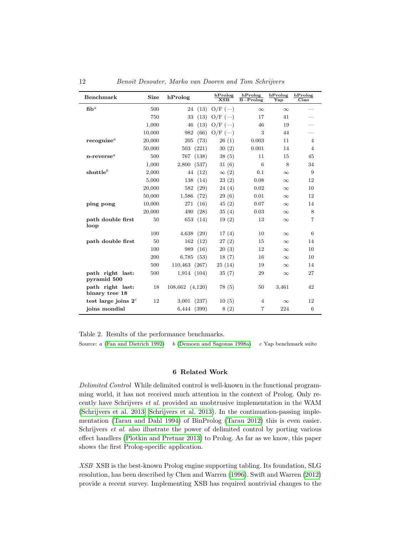| <b>Benchmark</b>                       | <b>Size</b> | hProlog         | hProlog<br>XSB | hProlog<br>$B-Prolog$ | hProlog<br>Yap | hProlog<br>$\overline{\text{Ciao}}$ |
|----------------------------------------|-------------|-----------------|----------------|-----------------------|----------------|-------------------------------------|
| $f_1$ h <sup>a</sup>                   | 500         | 24 (13)         | $O/F$ $(-)$    | $\infty$              | $\infty$       |                                     |
|                                        | 750         | 33<br>(13)      | $O/F$ $(-)$    | 17                    | 41             |                                     |
|                                        | 1,000       | (13)<br>46      | $O/F$ $(-)$    | 46                    | 19             |                                     |
|                                        | 10,000      | (66)<br>982     | $O/F$ $(-)$    | 3                     | 44             |                                     |
| recographic <sup>a</sup>               | 20,000      | (73)<br>205     | 26(1)          | 0.003                 | 11             | $\overline{4}$                      |
|                                        | 50,000      | 503<br>(221)    | 30(2)          | 0.001                 | 14             | $\overline{4}$                      |
| $n$ -reverse <sup><math>a</math></sup> | 500         | 767<br>(138)    | 38(5)          | 11                    | 15             | 45                                  |
|                                        | 1,000       | 2,800(537)      | 31(6)          | 6                     | 8              | 34                                  |
| shuttle <sup>b</sup>                   | 2,000       | 44 (12)         | $\infty$ (2)   | 0.1                   | $\infty$       | 9                                   |
|                                        | 5,000       | 138<br>(14)     | 23(2)          | 0.08                  | $\infty$       | 12                                  |
|                                        | 20,000      | 582<br>(29)     | 24(4)          | 0.02                  | $\infty$       | 10                                  |
|                                        | 50,000      | 1,586<br>(72)   | 29(6)          | 0.01                  | $\infty$       | 12                                  |
| ping pong                              | 10,000      | (16)<br>271     | 45(2)          | 0.07                  | $\infty$       | 14                                  |
|                                        | 20,000      | (28)<br>490     | 35(4)          | 0.03                  | $\infty$       | 8                                   |
| path double first<br>loop              | 50          | 653<br>(14)     | 19(2)          | 13                    | $\infty$       | 7                                   |
|                                        | 100         | 4,638<br>(29)   | 17(4)          | 10                    | $\infty$       | 6                                   |
| path double first                      | 50          | 162<br>(12)     | 27(2)          | 15                    | $\infty$       | 14                                  |
|                                        | 100         | 989<br>(16)     | 20(3)          | 12                    | $\infty$       | 10                                  |
|                                        | 200         | 6,785<br>(53)   | 18(7)          | 16                    | $\infty$       | 10                                  |
|                                        | 500         | 110,463 (267)   | 25(14)         | 19                    | $\infty$       | 14                                  |
| path right last:<br>pyramid 500        | 500         | 1,914 (104)     | 35(7)          | 29                    | $\infty$       | 27                                  |
| path right last:<br>binary tree 18     | 18          | 108,662 (4,120) | 78 (5)         | 50                    | 3,461          | 42                                  |
| test large joins $2c$                  | 12          | (237)<br>3,001  | 10(5)          | $\overline{4}$        | $\infty$       | 12                                  |
| joins mondial                          |             | (399)<br>6,444  | 8(2)           | 7                     | 224            | 6                                   |

<span id="page-11-0"></span>Table 2. Results of the performance benchmarks.

Source: a [\(Fan and Dietrich 1992\)](#page-13-2) b [\(Demoen and Sagonas 1998a\)](#page-13-10) c Yap benchmark suite

# 6 Related Work

Delimited Control While delimited control is well-known in the functional programming world, it has not received much attention in the context of Prolog. Only recently have Schrijvers et al. provided an unobtrusive implementation in the WAM [\(Schrijvers et al. 2013;](#page-14-1) [Schrijvers et al. 2013\)](#page-14-2). In the continuation-passing implementation [\(Tarau and Dahl 1994\)](#page-14-5) of BinProlog [\(Tarau 2012\)](#page-14-6) this is even easier. Schrijvers et al. also illustrate the power of delimited control by porting various effect handlers [\(Plotkin and Pretnar 2013\)](#page-13-3) to Prolog. As far as we know, this paper shows the first Prolog-specific application.

XSB XSB is the best-known Prolog engine supporting tabling. Its foundation, SLG resolution, has been described by Chen and Warren [\(1996\)](#page-13-11). Swift and Warren [\(2012\)](#page-14-3) provide a recent survey. Implementing XSB has required nontrivial changes to the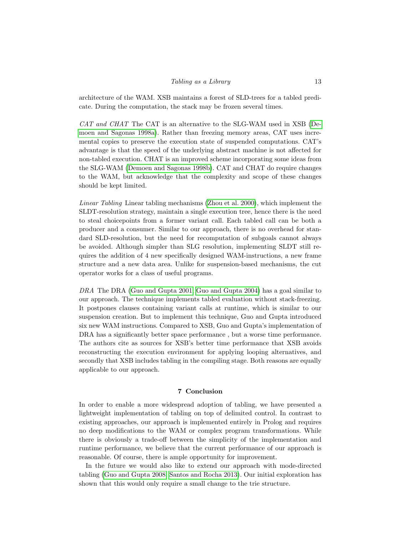# Tabling as a Library 13

architecture of the WAM. XSB maintains a forest of SLD-trees for a tabled predicate. During the computation, the stack may be frozen several times.

CAT and CHAT The CAT is an alternative to the SLG-WAM used in XSB [\(De](#page-13-10)[moen and Sagonas 1998a\)](#page-13-10). Rather than freezing memory areas, CAT uses incremental copies to preserve the execution state of suspended computations. CAT's advantage is that the speed of the underlying abstract machine is not affected for non-tabled execution. CHAT is an improved scheme incorporating some ideas from the SLG-WAM [\(Demoen and Sagonas 1998b\)](#page-13-12). CAT and CHAT do require changes to the WAM, but acknowledge that the complexity and scope of these changes should be kept limited.

Linear Tabling Linear tabling mechanisms [\(Zhou et al. 2000\)](#page-14-7), which implement the SLDT-resolution strategy, maintain a single execution tree, hence there is the need to steal choicepoints from a former variant call. Each tabled call can be both a producer and a consumer. Similar to our approach, there is no overhead for standard SLD-resolution, but the need for recomputation of subgoals cannot always be avoided. Although simpler than SLG resolution, implementing SLDT still requires the addition of 4 new specifically designed WAM-instructions, a new frame structure and a new data area. Unlike for suspension-based mechanisms, the cut operator works for a class of useful programs.

DRA The DRA [\(Guo and Gupta 2001;](#page-13-13) [Guo and Gupta 2004\)](#page-13-14) has a goal similar to our approach. The technique implements tabled evaluation without stack-freezing. It postpones clauses containing variant calls at runtime, which is similar to our suspension creation. But to implement this technique, Guo and Gupta introduced six new WAM instructions. Compared to XSB, Guo and Gupta's implementation of DRA has a significantly better space performance , but a worse time performance. The authors cite as sources for XSB's better time performance that XSB avoids reconstructing the execution environment for applying looping alternatives, and secondly that XSB includes tabling in the compiling stage. Both reasons are equally applicable to our approach.

# 7 Conclusion

In order to enable a more widespread adoption of tabling, we have presented a lightweight implementation of tabling on top of delimited control. In contrast to existing approaches, our approach is implemented entirely in Prolog and requires no deep modifications to the WAM or complex program transformations. While there is obviously a trade-off between the simplicity of the implementation and runtime performance, we believe that the current performance of our approach is reasonable. Of course, there is ample opportunity for improvement.

In the future we would also like to extend our approach with mode-directed tabling [\(Guo and Gupta 2008;](#page-13-15) [Santos and Rocha 2013\)](#page-13-16). Our initial exploration has shown that this would only require a small change to the trie structure.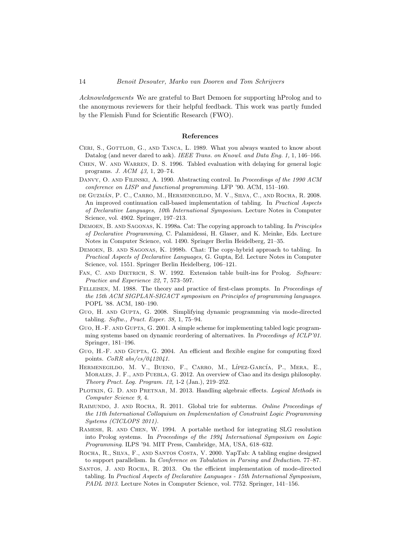Acknowledgements We are grateful to Bart Demoen for supporting hProlog and to the anonymous reviewers for their helpful feedback. This work was partly funded by the Flemish Fund for Scientific Research (FWO).

# References

- <span id="page-13-6"></span>CERI, S., GOTTLOB, G., AND TANCA, L. 1989. What you always wanted to know about Datalog (and never dared to ask). IEEE Trans. on Knowl. and Data Eng. 1, 1, 146-166.
- <span id="page-13-11"></span>Chen, W. and Warren, D. S. 1996. Tabled evaluation with delaying for general logic programs. J. ACM 43, 1, 20–74.
- <span id="page-13-5"></span>DANVY, O. AND FILINSKI, A. 1990. Abstracting control. In *Proceedings of the 1990 ACM* conference on LISP and functional programming. LFP '90. ACM, 151–160.
- <span id="page-13-1"></span>DE GUZMÁN, P. C., CARRO, M., HERMENEGILDO, M. V., SILVA, C., AND ROCHA, R. 2008. An improved continuation call-based implementation of tabling. In Practical Aspects of Declarative Languages, 10th International Symposium. Lecture Notes in Computer Science, vol. 4902. Springer, 197–213.
- <span id="page-13-10"></span>Demoen, B. and Sagonas, K. 1998a. Cat: The copying approach to tabling. In Principles of Declarative Programming, C. Palamidessi, H. Glaser, and K. Meinke, Eds. Lecture Notes in Computer Science, vol. 1490. Springer Berlin Heidelberg, 21–35.
- <span id="page-13-12"></span>Demoen, B. and Sagonas, K. 1998b. Chat: The copy-hybrid approach to tabling. In Practical Aspects of Declarative Languages, G. Gupta, Ed. Lecture Notes in Computer Science, vol. 1551. Springer Berlin Heidelberg, 106–121.
- <span id="page-13-2"></span>FAN, C. AND DIETRICH, S. W. 1992. Extension table built-ins for Prolog. Software: Practice and Experience 22, 7, 573–597.
- <span id="page-13-4"></span>FELLEISEN, M. 1988. The theory and practice of first-class prompts. In *Proceedings of* the 15th ACM SIGPLAN-SIGACT symposium on Principles of programming languages. POPL '88. ACM, 180–190.
- <span id="page-13-15"></span>Guo, H. and Gupta, G. 2008. Simplifying dynamic programming via mode-directed tabling. Softw., Pract. Exper. 38, 1, 75–94.
- <span id="page-13-13"></span>Guo, H.-F. and Gupta, G. 2001. A simple scheme for implementing tabled logic programming systems based on dynamic reordering of alternatives. In Proceedings of ICLP'01. Springer, 181–196.
- <span id="page-13-14"></span>Guo, H.-F. and Gupta, G. 2004. An efficient and flexible engine for computing fixed points.  $CoRR$  abs/ $cs/0412041$ .
- <span id="page-13-7"></span>HERMENEGILDO, M. V., BUENO, F., CARRO, M., LÍPEZ-GARCÍA, P., MERA, E., MORALES, J. F., AND PUEBLA, G. 2012. An overview of Ciao and its design philosophy. Theory Pract. Log. Program. 12, 1-2 (Jan.), 219–252.
- <span id="page-13-3"></span>PLOTKIN, G. D. AND PRETNAR, M. 2013. Handling algebraic effects. Logical Methods in Computer Science 9, 4.
- <span id="page-13-8"></span>RAIMUNDO, J. AND ROCHA, R. 2011. Global trie for subterms. Online Proceedings of the 11th International Colloquium on Implementation of Constraint Logic Programming Systems (CICLOPS 2011).
- <span id="page-13-0"></span>Ramesh, R. and Chen, W. 1994. A portable method for integrating SLG resolution into Prolog systems. In Proceedings of the 1994 International Symposium on Logic Programming. ILPS '94. MIT Press, Cambridge, MA, USA, 618–632.
- <span id="page-13-9"></span>Rocha, R., Silva, F., and Santos Costa, V. 2000. YapTab: A tabling engine designed to support parallelism. In Conference on Tabulation in Parsing and Deduction. 77–87.
- <span id="page-13-16"></span>SANTOS, J. AND ROCHA, R. 2013. On the efficient implementation of mode-directed tabling. In Practical Aspects of Declarative Languages - 15th International Symposium, PADL 2013. Lecture Notes in Computer Science, vol. 7752. Springer, 141–156.